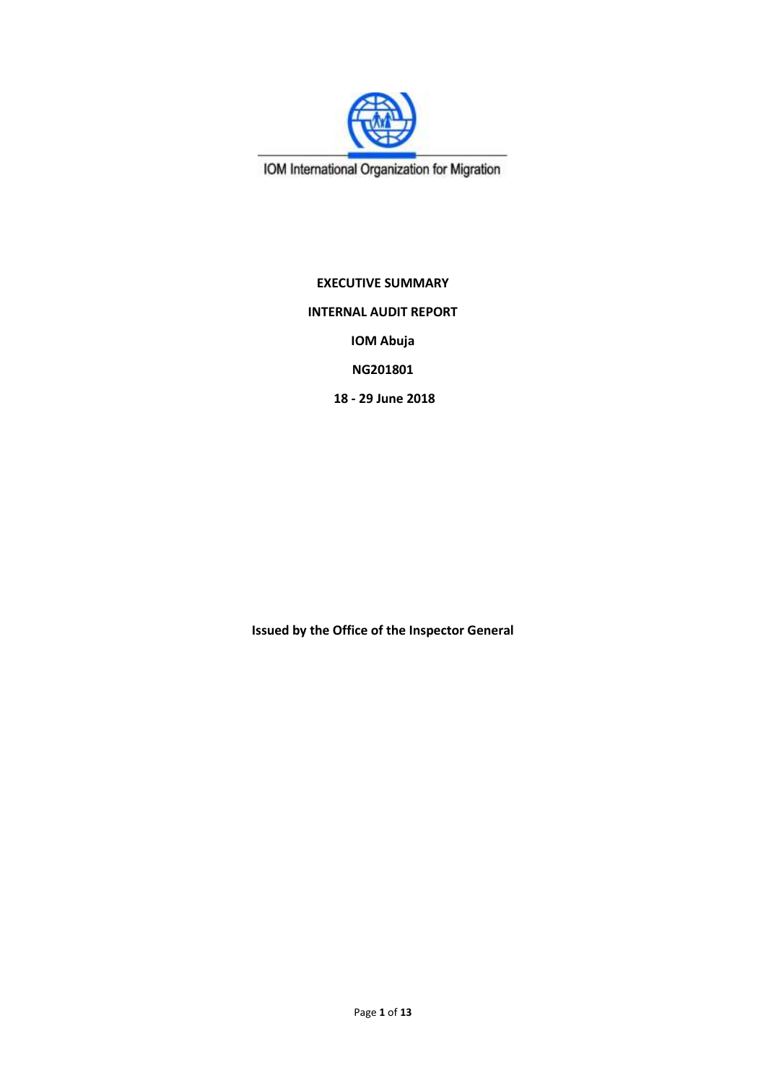

IOM International Organization for Migration

**EXECUTIVE SUMMARY INTERNAL AUDIT REPORT IOM Abuja NG201801 18 - 29 June 2018**

**Issued by the Office of the Inspector General**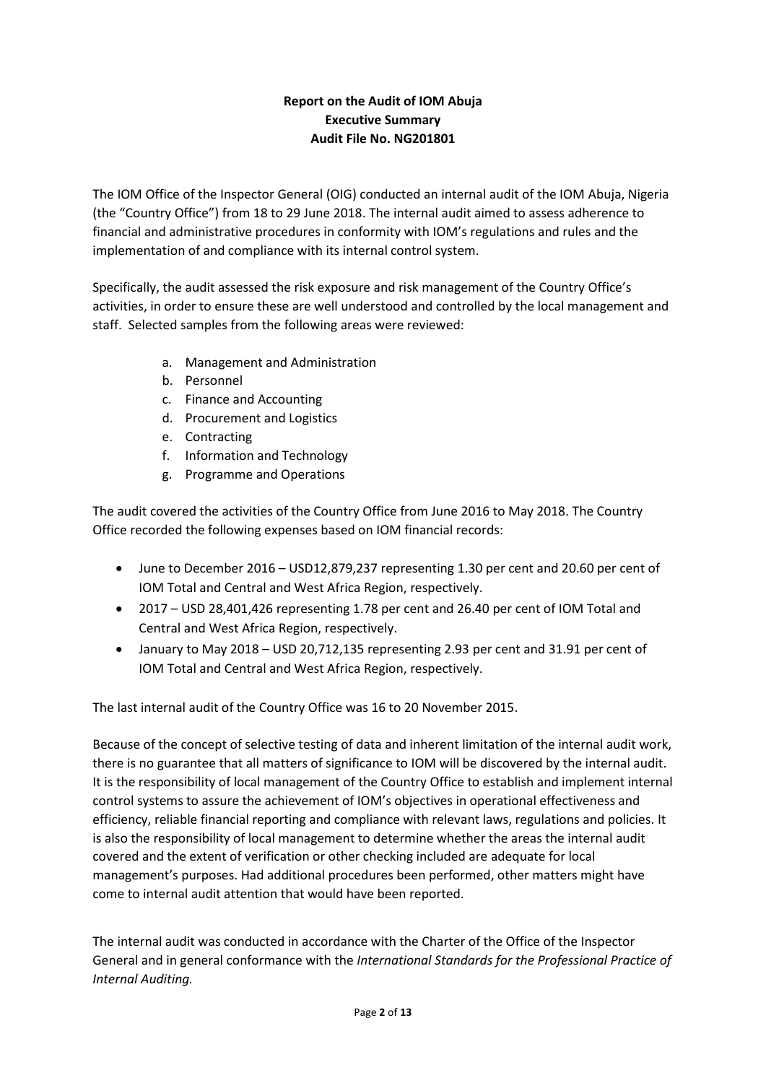# **Report on the Audit of IOM Abuja Executive Summary Audit File No. NG201801**

The IOM Office of the Inspector General (OIG) conducted an internal audit of the IOM Abuja, Nigeria (the "Country Office") from 18 to 29 June 2018. The internal audit aimed to assess adherence to financial and administrative procedures in conformity with IOM's regulations and rules and the implementation of and compliance with its internal control system.

Specifically, the audit assessed the risk exposure and risk management of the Country Office's activities, in order to ensure these are well understood and controlled by the local management and staff. Selected samples from the following areas were reviewed:

- a. Management and Administration
- b. Personnel
- c. Finance and Accounting
- d. Procurement and Logistics
- e. Contracting
- f. Information and Technology
- g. Programme and Operations

The audit covered the activities of the Country Office from June 2016 to May 2018. The Country Office recorded the following expenses based on IOM financial records:

- June to December 2016 USD12,879,237 representing 1.30 per cent and 20.60 per cent of IOM Total and Central and West Africa Region, respectively.
- 2017 USD 28,401,426 representing 1.78 per cent and 26.40 per cent of IOM Total and Central and West Africa Region, respectively.
- January to May 2018 USD 20,712,135 representing 2.93 per cent and 31.91 per cent of IOM Total and Central and West Africa Region, respectively.

The last internal audit of the Country Office was 16 to 20 November 2015.

Because of the concept of selective testing of data and inherent limitation of the internal audit work, there is no guarantee that all matters of significance to IOM will be discovered by the internal audit. It is the responsibility of local management of the Country Office to establish and implement internal control systems to assure the achievement of IOM's objectives in operational effectiveness and efficiency, reliable financial reporting and compliance with relevant laws, regulations and policies. It is also the responsibility of local management to determine whether the areas the internal audit covered and the extent of verification or other checking included are adequate for local management's purposes. Had additional procedures been performed, other matters might have come to internal audit attention that would have been reported.

The internal audit was conducted in accordance with the Charter of the Office of the Inspector General and in general conformance with the *International Standards for the Professional Practice of Internal Auditing.*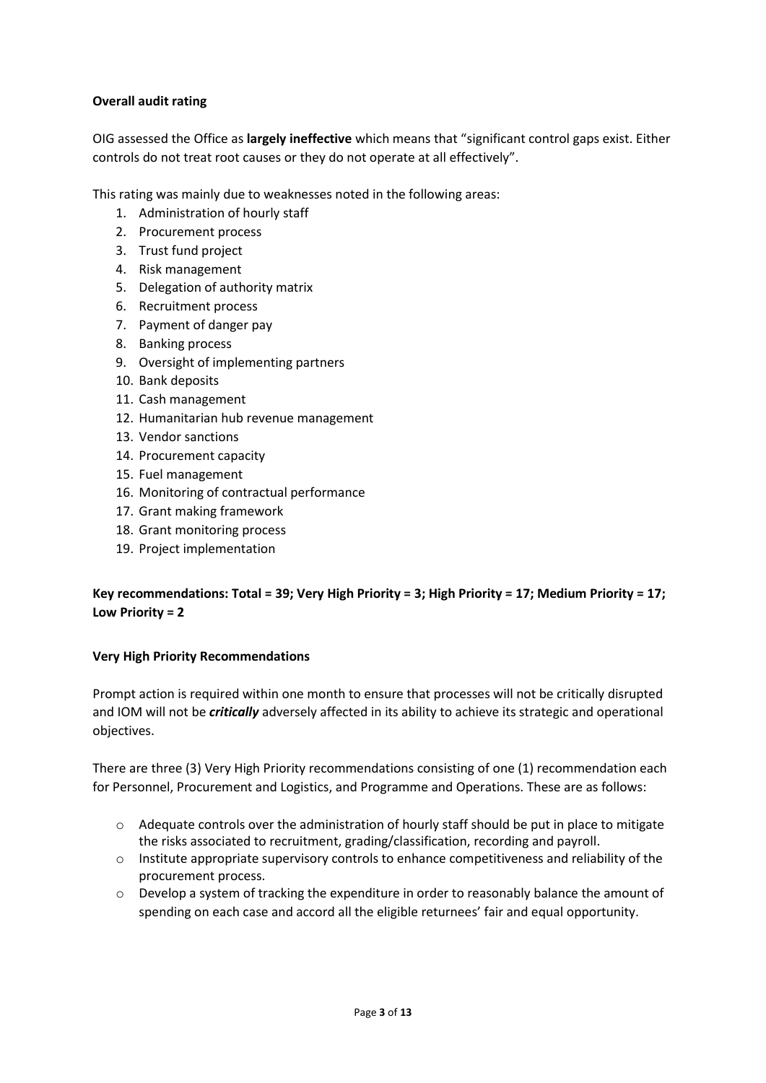### **Overall audit rating**

OIG assessed the Office as **largely ineffective** which means that "significant control gaps exist. Either controls do not treat root causes or they do not operate at all effectively".

This rating was mainly due to weaknesses noted in the following areas:

- 1. Administration of hourly staff
- 2. Procurement process
- 3. Trust fund project
- 4. Risk management
- 5. Delegation of authority matrix
- 6. Recruitment process
- 7. Payment of danger pay
- 8. Banking process
- 9. Oversight of implementing partners
- 10. Bank deposits
- 11. Cash management
- 12. Humanitarian hub revenue management
- 13. Vendor sanctions
- 14. Procurement capacity
- 15. Fuel management
- 16. Monitoring of contractual performance
- 17. Grant making framework
- 18. Grant monitoring process
- 19. Project implementation

# **Key recommendations: Total = 39; Very High Priority = 3; High Priority = 17; Medium Priority = 17; Low Priority = 2**

#### **Very High Priority Recommendations**

Prompt action is required within one month to ensure that processes will not be critically disrupted and IOM will not be *critically* adversely affected in its ability to achieve its strategic and operational objectives.

There are three (3) Very High Priority recommendations consisting of one (1) recommendation each for Personnel, Procurement and Logistics, and Programme and Operations. These are as follows:

- $\circ$  Adequate controls over the administration of hourly staff should be put in place to mitigate the risks associated to recruitment, grading/classification, recording and payroll.
- o Institute appropriate supervisory controls to enhance competitiveness and reliability of the procurement process.
- o Develop a system of tracking the expenditure in order to reasonably balance the amount of spending on each case and accord all the eligible returnees' fair and equal opportunity.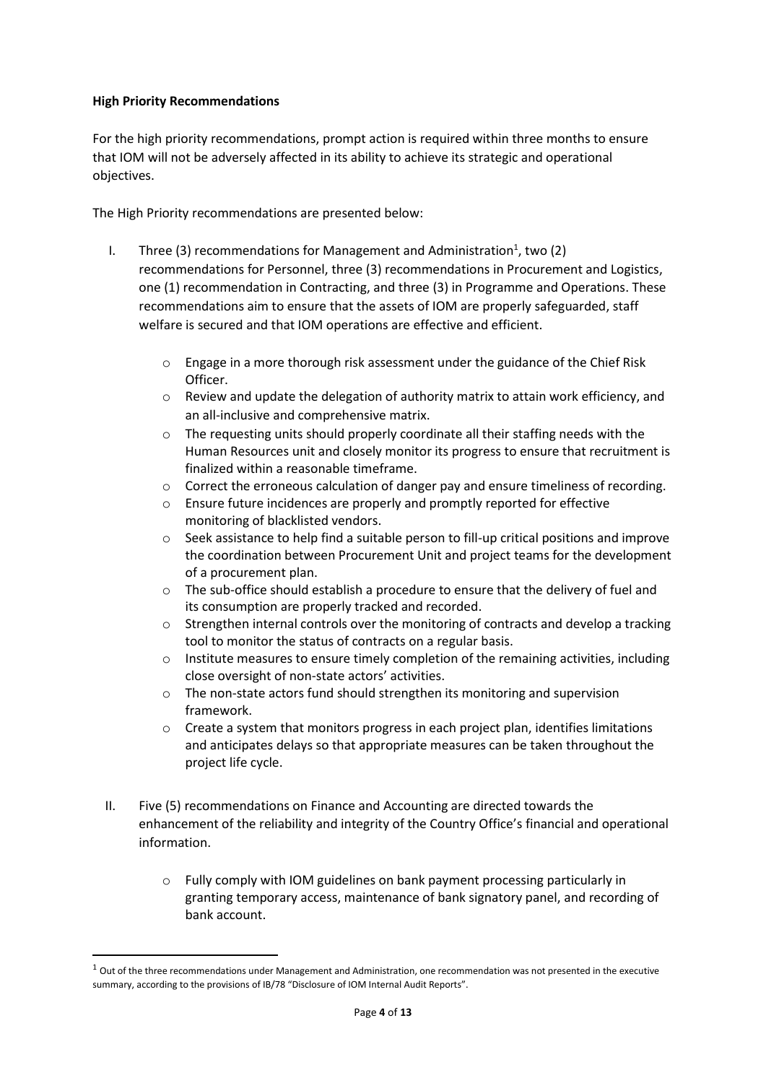#### **High Priority Recommendations**

**.** 

For the high priority recommendations, prompt action is required within three months to ensure that IOM will not be adversely affected in its ability to achieve its strategic and operational objectives.

The High Priority recommendations are presented below:

- I. Three (3) recommendations for Management and Administration<sup>1</sup>, two (2) recommendations for Personnel, three (3) recommendations in Procurement and Logistics, one (1) recommendation in Contracting, and three (3) in Programme and Operations. These recommendations aim to ensure that the assets of IOM are properly safeguarded, staff welfare is secured and that IOM operations are effective and efficient.
	- o Engage in a more thorough risk assessment under the guidance of the Chief Risk Officer.
	- $\circ$  Review and update the delegation of authority matrix to attain work efficiency, and an all-inclusive and comprehensive matrix.
	- $\circ$  The requesting units should properly coordinate all their staffing needs with the Human Resources unit and closely monitor its progress to ensure that recruitment is finalized within a reasonable timeframe.
	- o Correct the erroneous calculation of danger pay and ensure timeliness of recording.
	- o Ensure future incidences are properly and promptly reported for effective monitoring of blacklisted vendors.
	- o Seek assistance to help find a suitable person to fill-up critical positions and improve the coordination between Procurement Unit and project teams for the development of a procurement plan.
	- o The sub-office should establish a procedure to ensure that the delivery of fuel and its consumption are properly tracked and recorded.
	- o Strengthen internal controls over the monitoring of contracts and develop a tracking tool to monitor the status of contracts on a regular basis.
	- $\circ$  Institute measures to ensure timely completion of the remaining activities, including close oversight of non-state actors' activities.
	- o The non-state actors fund should strengthen its monitoring and supervision framework.
	- $\circ$  Create a system that monitors progress in each project plan, identifies limitations and anticipates delays so that appropriate measures can be taken throughout the project life cycle.
- II. Five (5) recommendations on Finance and Accounting are directed towards the enhancement of the reliability and integrity of the Country Office's financial and operational information.
	- Fully comply with IOM guidelines on bank payment processing particularly in granting temporary access, maintenance of bank signatory panel, and recording of bank account.

 $1$  Out of the three recommendations under Management and Administration, one recommendation was not presented in the executive summary, according to the provisions of IB/78 "Disclosure of IOM Internal Audit Reports".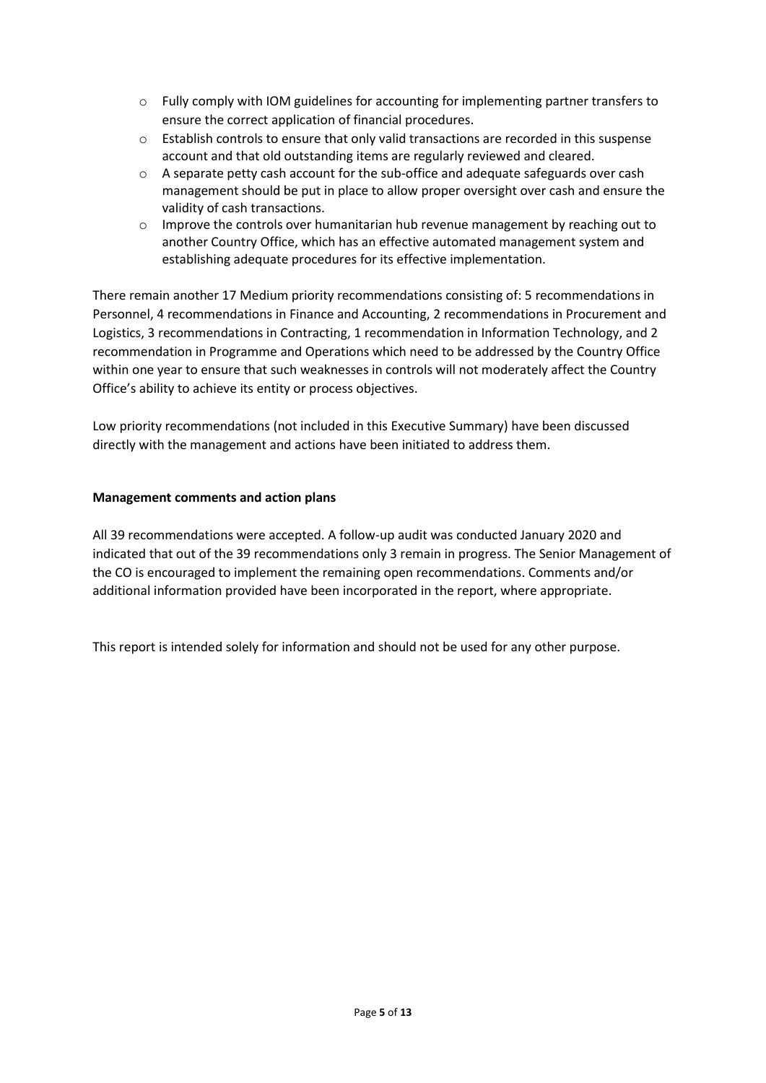- o Fully comply with IOM guidelines for accounting for implementing partner transfers to ensure the correct application of financial procedures.
- o Establish controls to ensure that only valid transactions are recorded in this suspense account and that old outstanding items are regularly reviewed and cleared.
- o A separate petty cash account for the sub-office and adequate safeguards over cash management should be put in place to allow proper oversight over cash and ensure the validity of cash transactions.
- $\circ$  Improve the controls over humanitarian hub revenue management by reaching out to another Country Office, which has an effective automated management system and establishing adequate procedures for its effective implementation.

There remain another 17 Medium priority recommendations consisting of: 5 recommendations in Personnel, 4 recommendations in Finance and Accounting, 2 recommendations in Procurement and Logistics, 3 recommendations in Contracting, 1 recommendation in Information Technology, and 2 recommendation in Programme and Operations which need to be addressed by the Country Office within one year to ensure that such weaknesses in controls will not moderately affect the Country Office's ability to achieve its entity or process objectives.

Low priority recommendations (not included in this Executive Summary) have been discussed directly with the management and actions have been initiated to address them.

# **Management comments and action plans**

All 39 recommendations were accepted. A follow-up audit was conducted January 2020 and indicated that out of the 39 recommendations only 3 remain in progress. The Senior Management of the CO is encouraged to implement the remaining open recommendations. Comments and/or additional information provided have been incorporated in the report, where appropriate.

This report is intended solely for information and should not be used for any other purpose.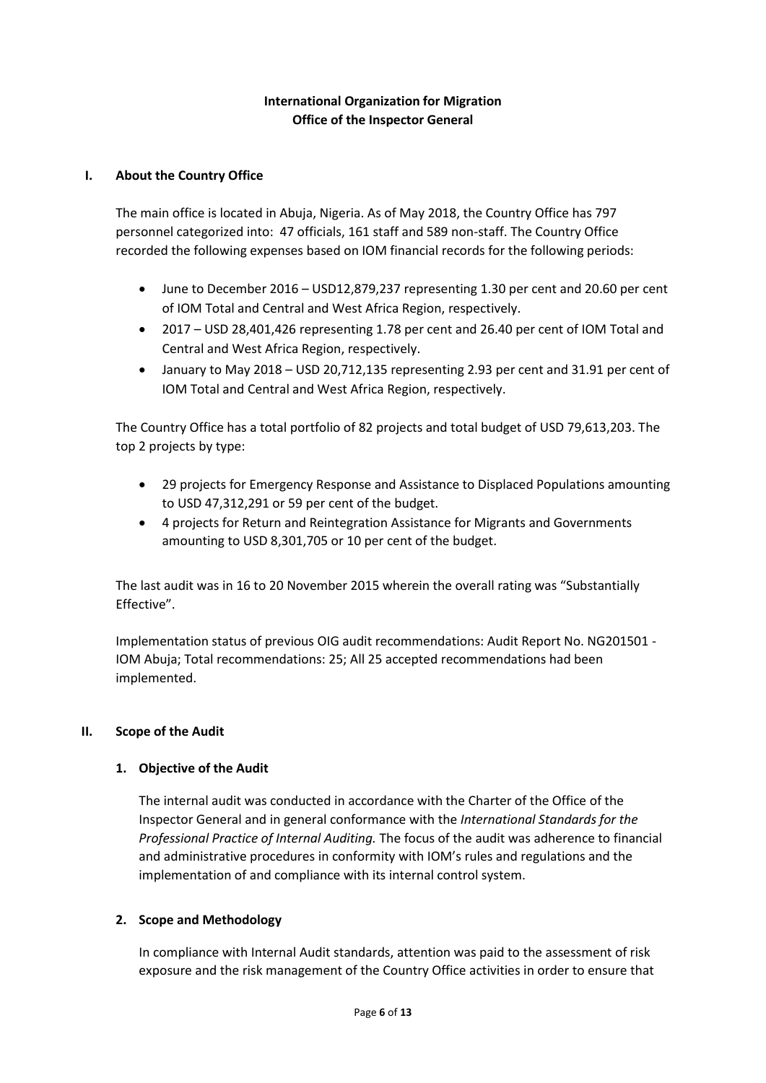# **International Organization for Migration Office of the Inspector General**

### **I. About the Country Office**

The main office is located in Abuja, Nigeria. As of May 2018, the Country Office has 797 personnel categorized into: 47 officials, 161 staff and 589 non-staff. The Country Office recorded the following expenses based on IOM financial records for the following periods:

- June to December 2016 USD12,879,237 representing 1.30 per cent and 20.60 per cent of IOM Total and Central and West Africa Region, respectively.
- 2017 USD 28,401,426 representing 1.78 per cent and 26.40 per cent of IOM Total and Central and West Africa Region, respectively.
- January to May 2018 USD 20,712,135 representing 2.93 per cent and 31.91 per cent of IOM Total and Central and West Africa Region, respectively.

The Country Office has a total portfolio of 82 projects and total budget of USD 79,613,203. The top 2 projects by type:

- 29 projects for Emergency Response and Assistance to Displaced Populations amounting to USD 47,312,291 or 59 per cent of the budget.
- 4 projects for Return and Reintegration Assistance for Migrants and Governments amounting to USD 8,301,705 or 10 per cent of the budget.

The last audit was in 16 to 20 November 2015 wherein the overall rating was "Substantially Effective".

Implementation status of previous OIG audit recommendations: Audit Report No. NG201501 - IOM Abuja; Total recommendations: 25; All 25 accepted recommendations had been implemented.

#### **II. Scope of the Audit**

# **1. Objective of the Audit**

The internal audit was conducted in accordance with the Charter of the Office of the Inspector General and in general conformance with the *International Standards for the Professional Practice of Internal Auditing.* The focus of the audit was adherence to financial and administrative procedures in conformity with IOM's rules and regulations and the implementation of and compliance with its internal control system.

# **2. Scope and Methodology**

In compliance with Internal Audit standards, attention was paid to the assessment of risk exposure and the risk management of the Country Office activities in order to ensure that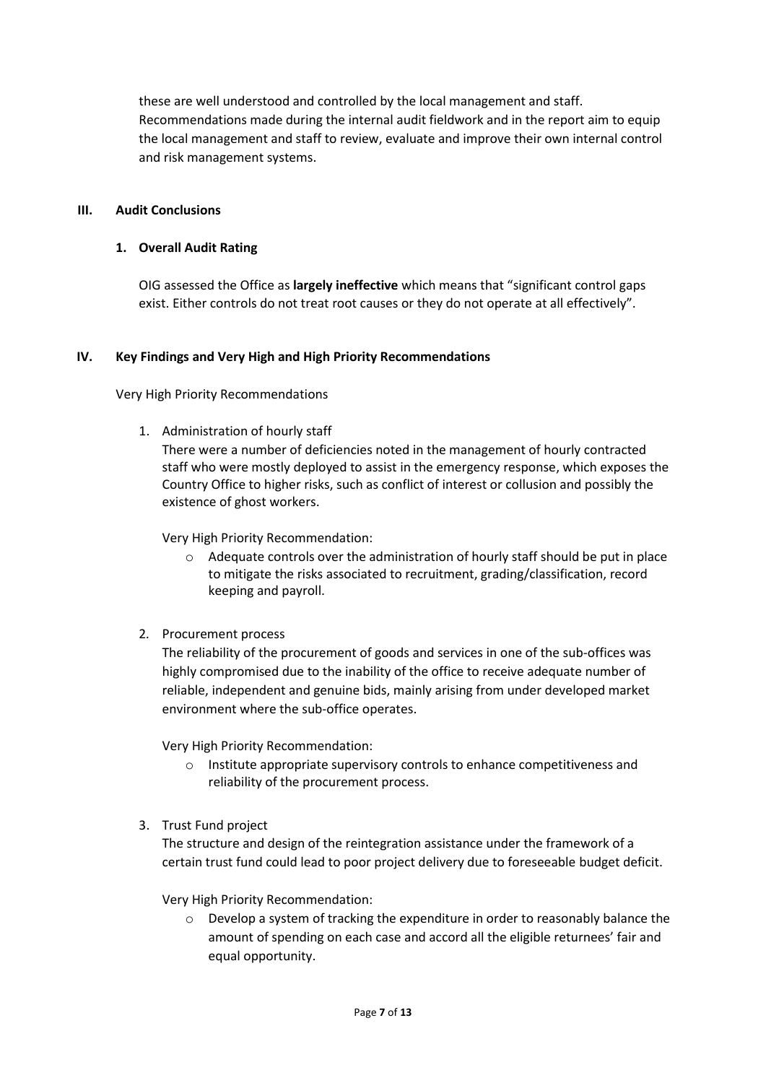these are well understood and controlled by the local management and staff. Recommendations made during the internal audit fieldwork and in the report aim to equip the local management and staff to review, evaluate and improve their own internal control and risk management systems.

#### **III. Audit Conclusions**

#### **1. Overall Audit Rating**

OIG assessed the Office as **largely ineffective** which means that "significant control gaps exist. Either controls do not treat root causes or they do not operate at all effectively".

#### **IV. Key Findings and Very High and High Priority Recommendations**

Very High Priority Recommendations

1. Administration of hourly staff

There were a number of deficiencies noted in the management of hourly contracted staff who were mostly deployed to assist in the emergency response, which exposes the Country Office to higher risks, such as conflict of interest or collusion and possibly the existence of ghost workers.

Very High Priority Recommendation:

 $\circ$  Adequate controls over the administration of hourly staff should be put in place to mitigate the risks associated to recruitment, grading/classification, record keeping and payroll.

#### 2*.* Procurement process

The reliability of the procurement of goods and services in one of the sub-offices was highly compromised due to the inability of the office to receive adequate number of reliable, independent and genuine bids, mainly arising from under developed market environment where the sub-office operates.

Very High Priority Recommendation:

- o Institute appropriate supervisory controls to enhance competitiveness and reliability of the procurement process.
- 3. Trust Fund project

The structure and design of the reintegration assistance under the framework of a certain trust fund could lead to poor project delivery due to foreseeable budget deficit.

Very High Priority Recommendation:

 $\circ$  Develop a system of tracking the expenditure in order to reasonably balance the amount of spending on each case and accord all the eligible returnees' fair and equal opportunity.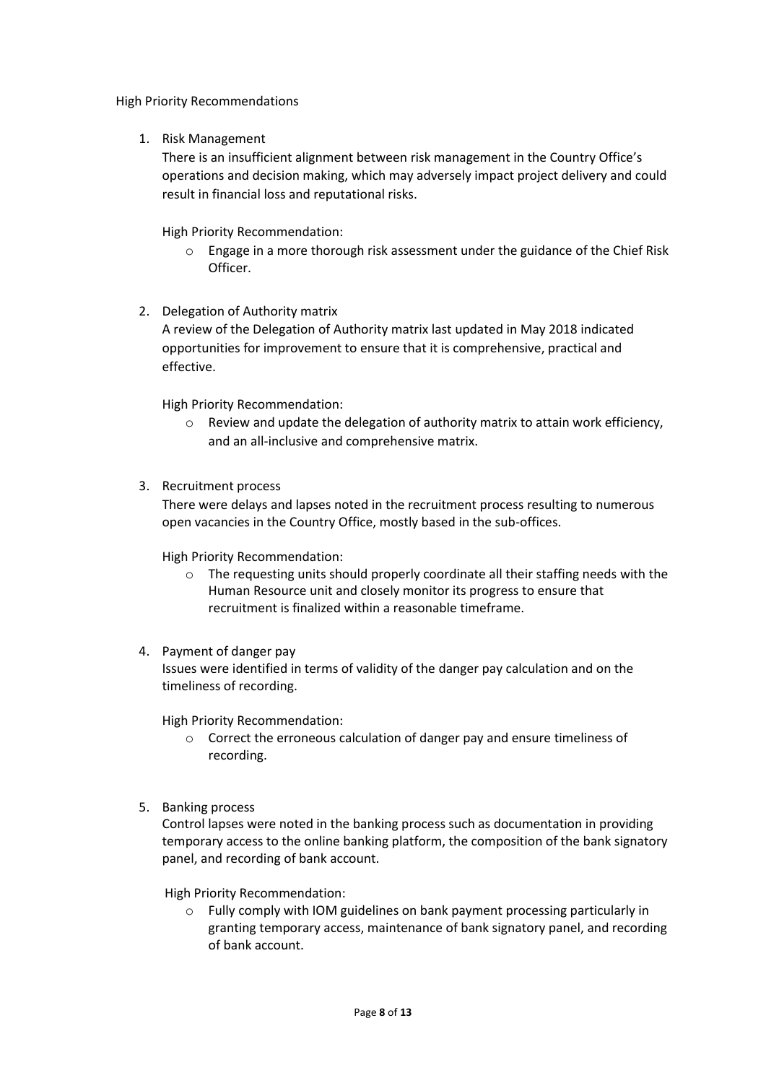High Priority Recommendations

1. Risk Management

There is an insufficient alignment between risk management in the Country Office's operations and decision making, which may adversely impact project delivery and could result in financial loss and reputational risks.

High Priority Recommendation:

- o Engage in a more thorough risk assessment under the guidance of the Chief Risk Officer.
- 2. Delegation of Authority matrix

A review of the Delegation of Authority matrix last updated in May 2018 indicated opportunities for improvement to ensure that it is comprehensive, practical and effective.

High Priority Recommendation:

- o Review and update the delegation of authority matrix to attain work efficiency, and an all-inclusive and comprehensive matrix.
- 3. Recruitment process

There were delays and lapses noted in the recruitment process resulting to numerous open vacancies in the Country Office, mostly based in the sub-offices.

High Priority Recommendation:

- o The requesting units should properly coordinate all their staffing needs with the Human Resource unit and closely monitor its progress to ensure that recruitment is finalized within a reasonable timeframe.
- 4. Payment of danger pay

Issues were identified in terms of validity of the danger pay calculation and on the timeliness of recording.

High Priority Recommendation:

- o Correct the erroneous calculation of danger pay and ensure timeliness of recording.
- 5. Banking process

Control lapses were noted in the banking process such as documentation in providing temporary access to the online banking platform, the composition of the bank signatory panel, and recording of bank account.

High Priority Recommendation:

o Fully comply with IOM guidelines on bank payment processing particularly in granting temporary access, maintenance of bank signatory panel, and recording of bank account.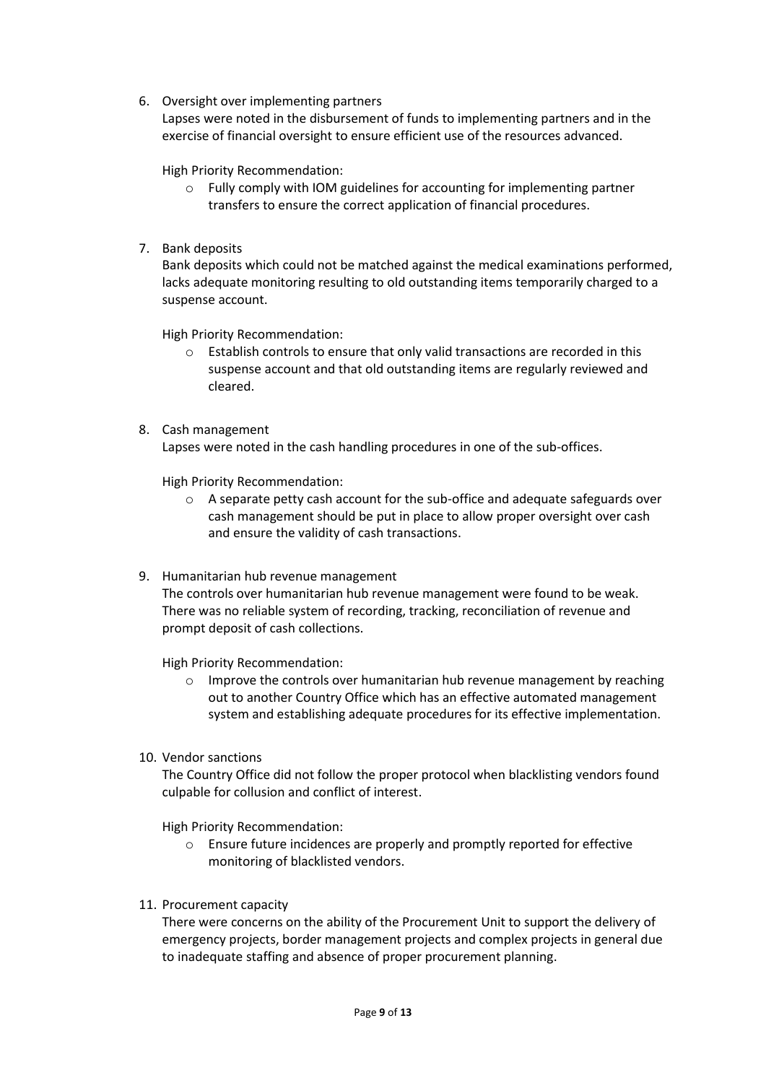6. Oversight over implementing partners

Lapses were noted in the disbursement of funds to implementing partners and in the exercise of financial oversight to ensure efficient use of the resources advanced.

High Priority Recommendation:

- $\circ$  Fully comply with IOM guidelines for accounting for implementing partner transfers to ensure the correct application of financial procedures.
- 7. Bank deposits

Bank deposits which could not be matched against the medical examinations performed, lacks adequate monitoring resulting to old outstanding items temporarily charged to a suspense account.

High Priority Recommendation:

- o Establish controls to ensure that only valid transactions are recorded in this suspense account and that old outstanding items are regularly reviewed and cleared.
- 8. Cash management Lapses were noted in the cash handling procedures in one of the sub-offices.

High Priority Recommendation:

- o A separate petty cash account for the sub-office and adequate safeguards over cash management should be put in place to allow proper oversight over cash and ensure the validity of cash transactions.
- 9. Humanitarian hub revenue management

The controls over humanitarian hub revenue management were found to be weak. There was no reliable system of recording, tracking, reconciliation of revenue and prompt deposit of cash collections.

High Priority Recommendation:

- o Improve the controls over humanitarian hub revenue management by reaching out to another Country Office which has an effective automated management system and establishing adequate procedures for its effective implementation.
- 10. Vendor sanctions

The Country Office did not follow the proper protocol when blacklisting vendors found culpable for collusion and conflict of interest.

High Priority Recommendation:

- o Ensure future incidences are properly and promptly reported for effective monitoring of blacklisted vendors.
- 11. Procurement capacity

There were concerns on the ability of the Procurement Unit to support the delivery of emergency projects, border management projects and complex projects in general due to inadequate staffing and absence of proper procurement planning.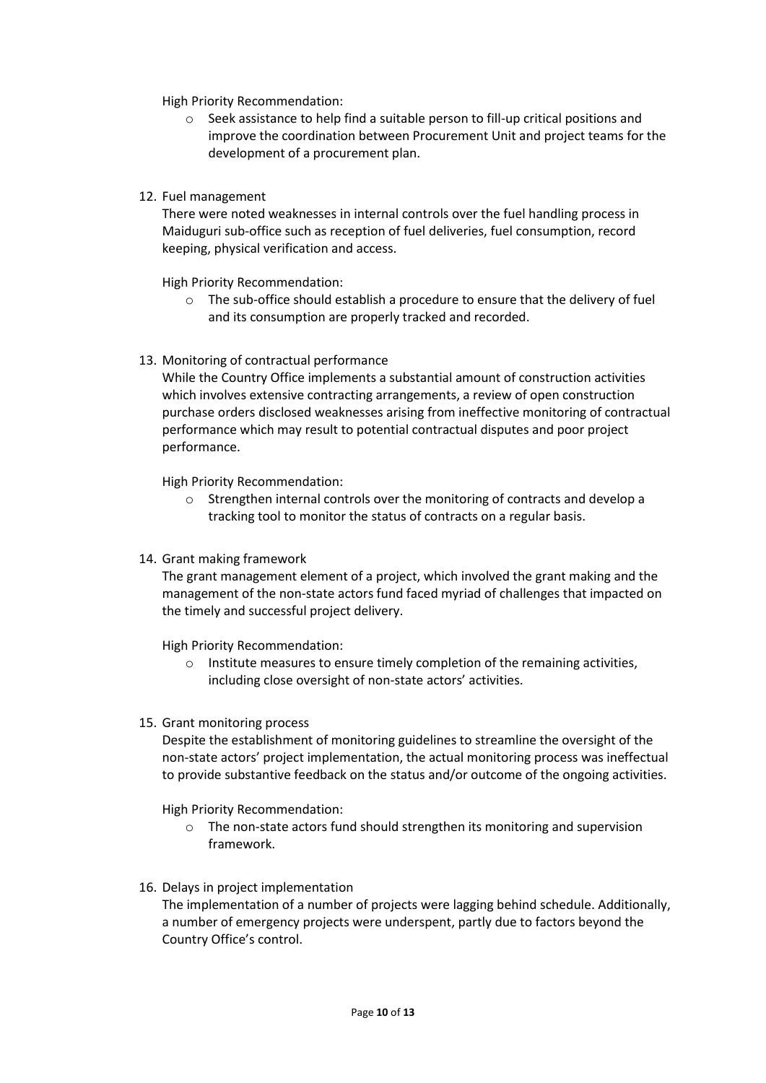High Priority Recommendation:

- o Seek assistance to help find a suitable person to fill-up critical positions and improve the coordination between Procurement Unit and project teams for the development of a procurement plan.
- 12. Fuel management

There were noted weaknesses in internal controls over the fuel handling process in Maiduguri sub-office such as reception of fuel deliveries, fuel consumption, record keeping, physical verification and access.

High Priority Recommendation:

- o The sub-office should establish a procedure to ensure that the delivery of fuel and its consumption are properly tracked and recorded.
- 13. Monitoring of contractual performance

While the Country Office implements a substantial amount of construction activities which involves extensive contracting arrangements, a review of open construction purchase orders disclosed weaknesses arising from ineffective monitoring of contractual performance which may result to potential contractual disputes and poor project performance.

High Priority Recommendation:

- o Strengthen internal controls over the monitoring of contracts and develop a tracking tool to monitor the status of contracts on a regular basis.
- 14. Grant making framework

The grant management element of a project, which involved the grant making and the management of the non-state actors fund faced myriad of challenges that impacted on the timely and successful project delivery.

High Priority Recommendation:

- o Institute measures to ensure timely completion of the remaining activities, including close oversight of non-state actors' activities.
- 15. Grant monitoring process

Despite the establishment of monitoring guidelines to streamline the oversight of the non-state actors' project implementation, the actual monitoring process was ineffectual to provide substantive feedback on the status and/or outcome of the ongoing activities.

High Priority Recommendation:

- o The non-state actors fund should strengthen its monitoring and supervision framework.
- 16. Delays in project implementation

The implementation of a number of projects were lagging behind schedule. Additionally, a number of emergency projects were underspent, partly due to factors beyond the Country Office's control.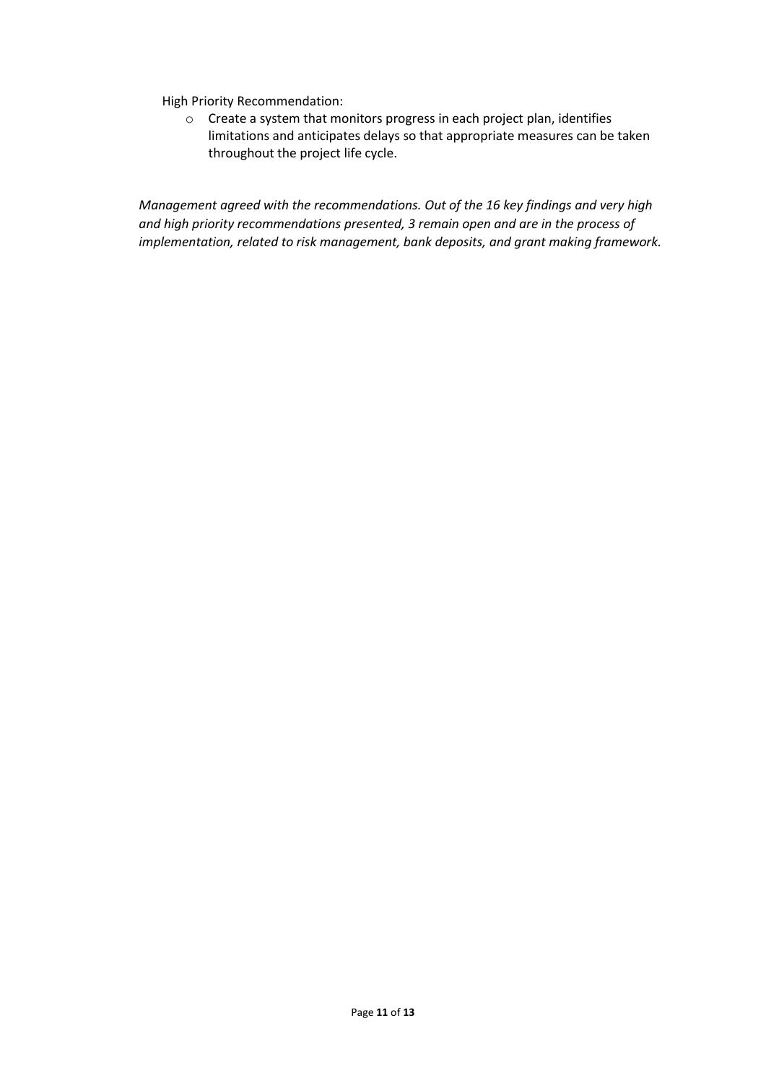High Priority Recommendation:

o Create a system that monitors progress in each project plan, identifies limitations and anticipates delays so that appropriate measures can be taken throughout the project life cycle.

*Management agreed with the recommendations. Out of the 16 key findings and very high and high priority recommendations presented, 3 remain open and are in the process of implementation, related to risk management, bank deposits, and grant making framework.*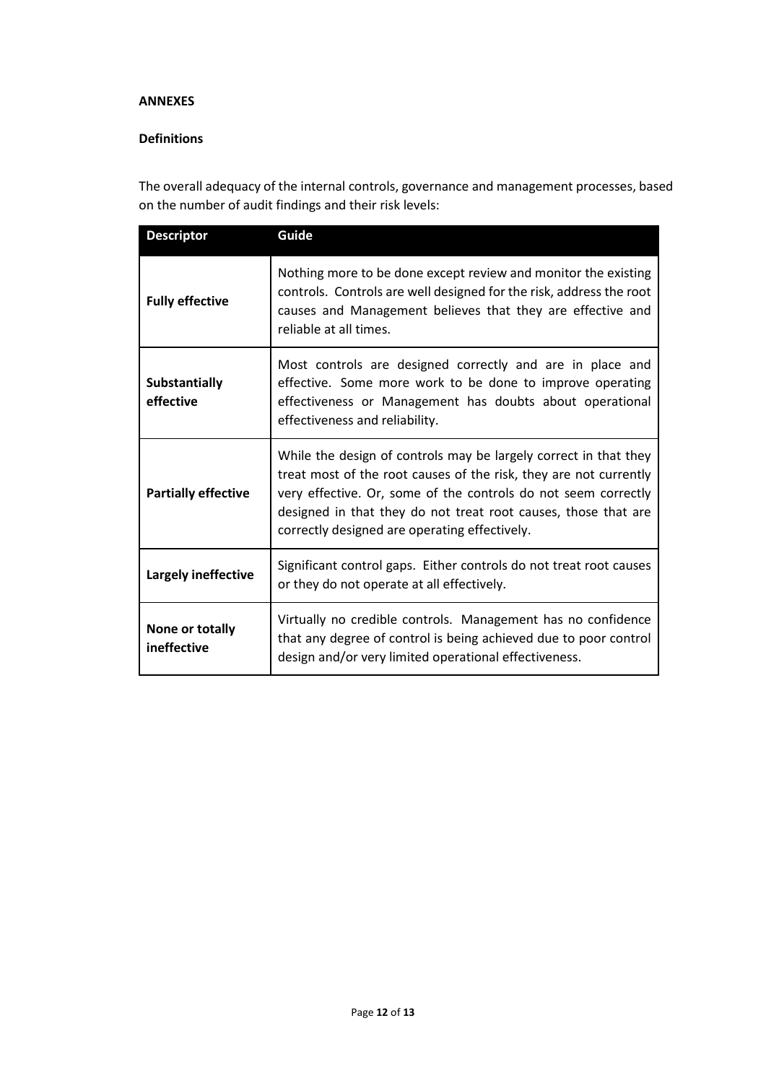#### **ANNEXES**

# **Definitions**

The overall adequacy of the internal controls, governance and management processes, based on the number of audit findings and their risk levels:

| <b>Descriptor</b>              | Guide                                                                                                                                                                                                                                                                                                                      |  |
|--------------------------------|----------------------------------------------------------------------------------------------------------------------------------------------------------------------------------------------------------------------------------------------------------------------------------------------------------------------------|--|
| <b>Fully effective</b>         | Nothing more to be done except review and monitor the existing<br>controls. Controls are well designed for the risk, address the root<br>causes and Management believes that they are effective and<br>reliable at all times.                                                                                              |  |
| Substantially<br>effective     | Most controls are designed correctly and are in place and<br>effective. Some more work to be done to improve operating<br>effectiveness or Management has doubts about operational<br>effectiveness and reliability.                                                                                                       |  |
| <b>Partially effective</b>     | While the design of controls may be largely correct in that they<br>treat most of the root causes of the risk, they are not currently<br>very effective. Or, some of the controls do not seem correctly<br>designed in that they do not treat root causes, those that are<br>correctly designed are operating effectively. |  |
| Largely ineffective            | Significant control gaps. Either controls do not treat root causes<br>or they do not operate at all effectively.                                                                                                                                                                                                           |  |
| None or totally<br>ineffective | Virtually no credible controls. Management has no confidence<br>that any degree of control is being achieved due to poor control<br>design and/or very limited operational effectiveness.                                                                                                                                  |  |